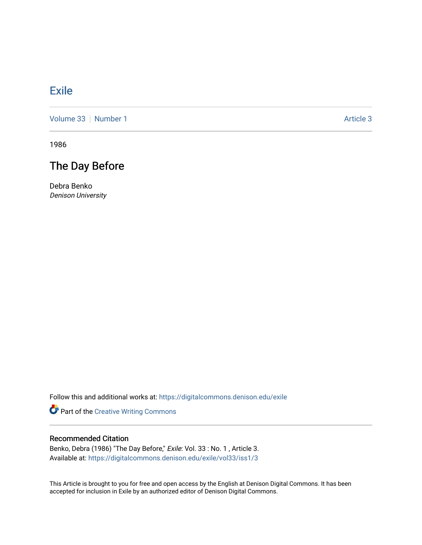## [Exile](https://digitalcommons.denison.edu/exile)

[Volume 33](https://digitalcommons.denison.edu/exile/vol33) [Number 1](https://digitalcommons.denison.edu/exile/vol33/iss1) Article 3

1986

## The Day Before

Debra Benko Denison University

Follow this and additional works at: [https://digitalcommons.denison.edu/exile](https://digitalcommons.denison.edu/exile?utm_source=digitalcommons.denison.edu%2Fexile%2Fvol33%2Fiss1%2F3&utm_medium=PDF&utm_campaign=PDFCoverPages) 

Part of the [Creative Writing Commons](http://network.bepress.com/hgg/discipline/574?utm_source=digitalcommons.denison.edu%2Fexile%2Fvol33%2Fiss1%2F3&utm_medium=PDF&utm_campaign=PDFCoverPages) 

## Recommended Citation

Benko, Debra (1986) "The Day Before," Exile: Vol. 33 : No. 1, Article 3. Available at: [https://digitalcommons.denison.edu/exile/vol33/iss1/3](https://digitalcommons.denison.edu/exile/vol33/iss1/3?utm_source=digitalcommons.denison.edu%2Fexile%2Fvol33%2Fiss1%2F3&utm_medium=PDF&utm_campaign=PDFCoverPages) 

This Article is brought to you for free and open access by the English at Denison Digital Commons. It has been accepted for inclusion in Exile by an authorized editor of Denison Digital Commons.